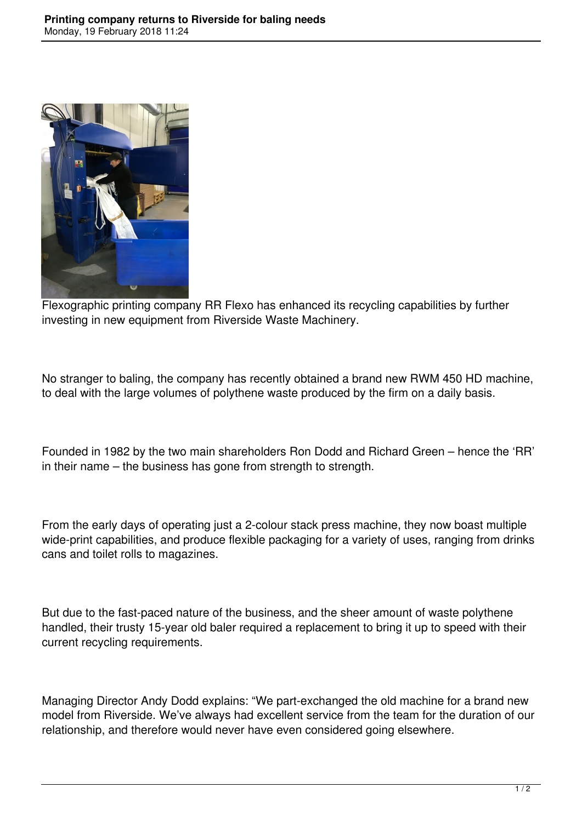

Flexographic printing company RR Flexo has enhanced its recycling capabilities by further investing in new equipment from Riverside Waste Machinery.

No stranger to baling, the company has recently obtained a brand new RWM 450 HD machine, to deal with the large volumes of polythene waste produced by the firm on a daily basis.

Founded in 1982 by the two main shareholders Ron Dodd and Richard Green – hence the 'RR' in their name – the business has gone from strength to strength.

From the early days of operating just a 2-colour stack press machine, they now boast multiple wide-print capabilities, and produce flexible packaging for a variety of uses, ranging from drinks cans and toilet rolls to magazines.

But due to the fast-paced nature of the business, and the sheer amount of waste polythene handled, their trusty 15-year old baler required a replacement to bring it up to speed with their current recycling requirements.

Managing Director Andy Dodd explains: "We part-exchanged the old machine for a brand new model from Riverside. We've always had excellent service from the team for the duration of our relationship, and therefore would never have even considered going elsewhere.